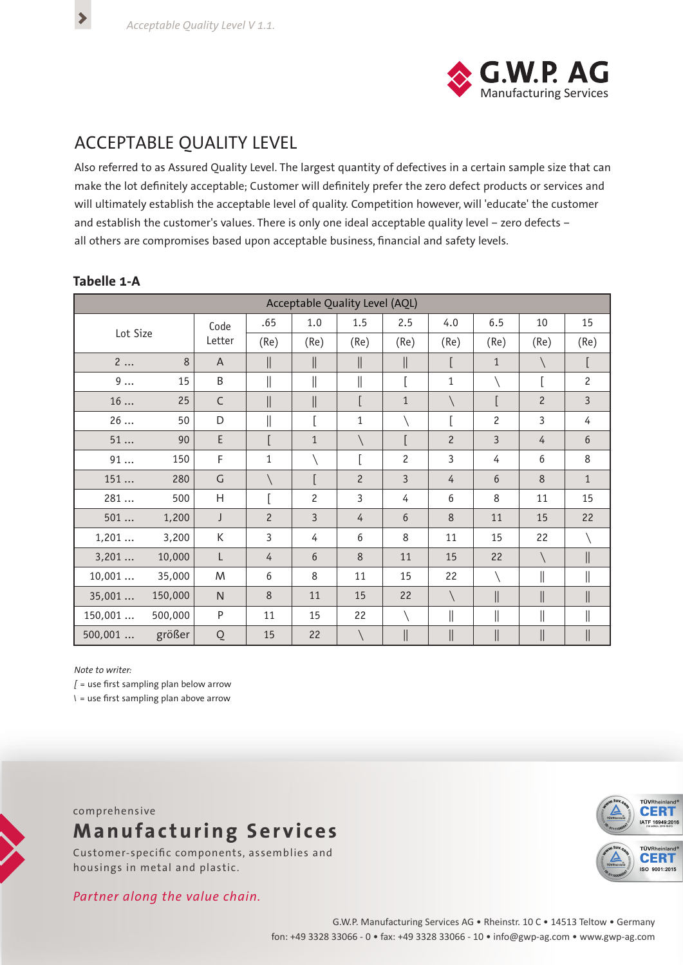

## ACCEPTABLE QUALITY LEVEL

Also referred to as Assured Quality Level. The largest quantity of defectives in a certain sample size that can make the lot definitely acceptable; Customer will definitely prefer the zero defect products or services and will ultimately establish the acceptable level of quality. Competition however, will 'educate' the customer and establish the customer's values. There is only one ideal acceptable quality level – zero defects – all others are compromises based upon acceptable business, financial and safety levels.

| Acceptable Quality Level (AQL) |         |                |                          |                                         |                |                                       |                    |                          |                |                                         |
|--------------------------------|---------|----------------|--------------------------|-----------------------------------------|----------------|---------------------------------------|--------------------|--------------------------|----------------|-----------------------------------------|
| Lot Size                       |         | Code<br>Letter | .65                      | 1.0                                     | 1.5            | 2.5                                   | 4.0                | 6.5                      | 10             | 15                                      |
|                                |         |                | (Re)                     | (Re)                                    | (Re)           | (Re)                                  | (Re)               | (Re)                     | (Re)           | (Re)                                    |
| 2                              | 8       | $\overline{A}$ | $\parallel$              | $\parallel$                             | $\parallel$    | $\parallel$                           |                    | $\mathbf{1}$             |                | L                                       |
| $9$                            | 15      | B              | $\parallel$              | $\mathcal{L}^{\text{max}}_{\text{max}}$ | $\big\ $       | ſ                                     | $\mathbf{1}$       |                          |                | $\overline{c}$                          |
| $16 \ldots$                    | 25      | $\mathsf C$    | $\label{eq:1} \bigsqcup$ | $\parallel$                             |                | $\mathbf{1}$                          |                    |                          | $\overline{c}$ | $\overline{3}$                          |
| 26                             | 50      | D              | $\big\ $                 |                                         | $\mathbf{1}$   |                                       |                    | $\overline{c}$           | 3              | 4                                       |
| $51\dots$                      | 90      | E              | [                        | $\mathbf{1}$                            |                | [                                     | $\overline{c}$     | $\overline{3}$           | $\overline{4}$ | 6                                       |
| $91 \dots$                     | 150     | F              | $\mathbf{1}$             |                                         |                | $\overline{c}$                        | 3                  | $\overline{4}$           | 6              | 8                                       |
| 151                            | 280     | G              |                          |                                         | $\overline{c}$ | 3                                     | 4                  | 6                        | 8              | $\mathbf{1}$                            |
| 281                            | 500     | H              |                          | $\overline{c}$                          | $\overline{3}$ | 4                                     | 6                  | 8                        | 11             | 15                                      |
| 501                            | 1,200   | J              | $\overline{c}$           | 3                                       | 4              | 6                                     | 8                  | 11                       | 15             | 22                                      |
| 1,201                          | 3,200   | K              | 3                        | 4                                       | 6              | 8                                     | 11                 | 15                       | 22             |                                         |
| 3,201                          | 10,000  | L              | $\overline{4}$           | $6\phantom{1}$                          | 8              | 11                                    | 15                 | 22                       |                | $\parallel$                             |
| 10,001                         | 35,000  | M              | 6                        | 8                                       | 11             | 15                                    | 22                 |                          | $\parallel$    | $\parallel$                             |
| 35,001                         | 150,000 | $\mathsf{N}$   | 8                        | 11                                      | 15             | 22                                    |                    | $\parallel$              | $\parallel$    | $\parallel$                             |
| 150,001                        | 500,000 | ${\sf P}$      | 11                       | 15                                      | 22             |                                       | $\frac{1}{2}$      | $\parallel$              | $\parallel$    | $\mathcal{L}^{\text{max}}_{\text{max}}$ |
| 500,001                        | größer  | Q              | 15                       | 22                                      |                | $\begin{array}{c} \hline \end{array}$ | $\left  {}\right $ | $\label{eq:1} \bigsqcup$ | $\parallel$    | $\vert\vert$                            |

### **Tabelle 1-A**

 $\blacktriangleright$ 

*Note to writer:*

*[* = use first sampling plan below arrow

*\* = use first sampling plan above arrow

comprehensive **Manufacturing Services**

Customer-specific components, assemblies and housings in metal and plastic.

*Partner along the value chain.*

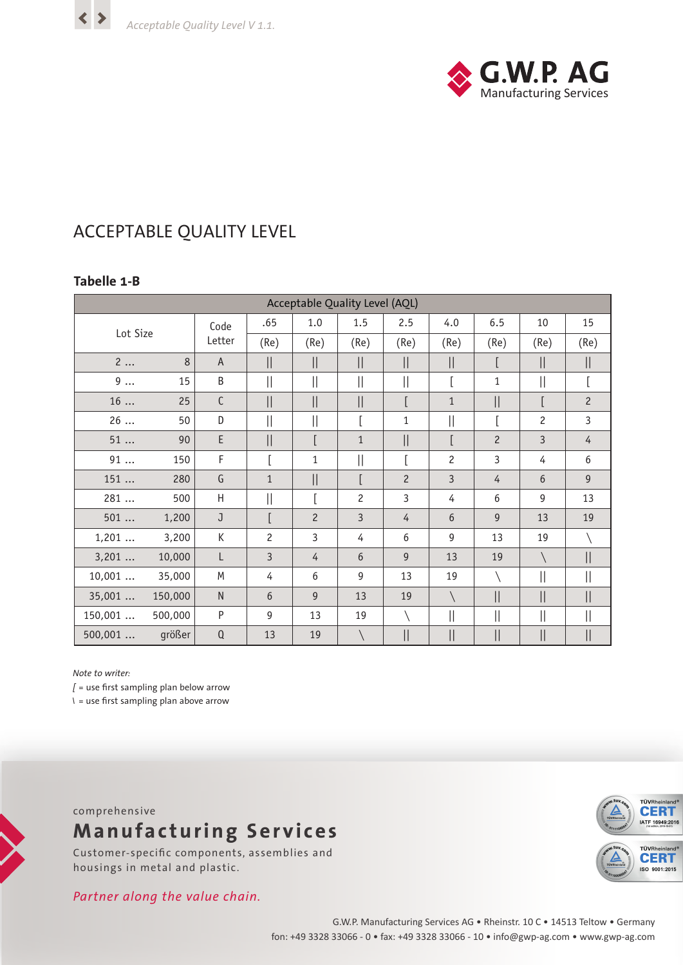

# ACCEPTABLE QUALITY LEVEL

| Acceptable Quality Level (AQL) |         |                |                 |                |                |                |                |                |                |                |
|--------------------------------|---------|----------------|-----------------|----------------|----------------|----------------|----------------|----------------|----------------|----------------|
| Lot Size                       |         | Code<br>Letter | .65             | 1.0            | 1.5            | 2.5            | 4.0            | 6.5            | 10             | 15             |
|                                |         |                | (Re)            | (Re)           | (Re)           | (Re)           | (Re)           | (Re)           | (Re)           | (Re)           |
| 2                              | 8       | A              | $\mathop{  }$   | $\parallel$    | $\vert \vert$  | $\mathop{  }$  | $\mid \mid$    |                | $\mathop{  }$  | $\mid \mid$    |
| 9                              | 15      | B              | $\mathop{  }$   | $\parallel$    | $\vert \vert$  | $\mathop{  }$  |                | $\mathbf{1}$   | $\mathop{  }$  |                |
| $16$                           | 25      | $\mathsf C$    | $\mathsf{II}$   | $\vert \vert$  | $\vert \vert$  |                | $\mathbf{1}$   | $\vert \vert$  |                | $\overline{c}$ |
| 26                             | 50      | D              | $\left \right $ | $\parallel$    |                | 1              | $\parallel$    |                | $\overline{c}$ | 3              |
| $51$                           | 90      | E              | $\vert\vert$    |                | $\mathbf{1}$   | $\mathop{  }$  |                | $\overline{c}$ | 3              | 4              |
| 91                             | 150     | F              |                 | $\mathbf{1}$   | $\parallel$    | $\overline{[}$ | $\overline{c}$ | 3              | 4              | 6              |
| 151                            | 280     | G              | $\mathbf{1}$    | $\vert \vert$  |                | $\overline{c}$ | $\overline{3}$ | $\overline{4}$ | 6              | $\overline{9}$ |
| 281                            | 500     | $\sf H$        | $\mathbb{I}$    | ſ              | $\overline{c}$ | 3              | 4              | 6              | 9              | 13             |
| 501                            | 1,200   | J              |                 | $\overline{c}$ | $\overline{3}$ | $\overline{4}$ | 6              | $\overline{9}$ | 13             | 19             |
| 1,201                          | 3,200   | К              | $\overline{c}$  | 3              | 4              | 6              | 9              | 13             | 19             |                |
| 3,201                          | 10,000  | L              | $\overline{3}$  | 4              | 6              | 9              | 13             | 19             |                | $\mathcal{I}$  |
| 10,001                         | 35,000  | M              | 4               | 6              | 9              | 13             | 19             |                | II             | $\mathop{  }$  |
| 35,001                         | 150,000 | $\mathsf{N}$   | 6               | 9              | 13             | 19             |                | $\mathsf{  }$  | $\mathop{  }$  | $\vert\vert$   |
| 150,001                        | 500,000 | ${\sf P}$      | 9               | 13             | 19             | $\setminus$    | $\mathsf{I}$   | $\parallel$    | 11             | $\parallel$    |
| $500,001$                      | größer  | $\mathbf 0$    | 13              | 19             |                | $\vert \vert$  | $\vert \vert$  | $\mid \mid$    | $\vert \vert$  | $\mid \mid$    |

#### **Tabelle 1-B**

*Note to writer:*

*[* = use first sampling plan below arrow

*\* = use first sampling plan above arrow

comprehensive **Manufacturing Services**

Customer-specific components, assemblies and housings in metal and plastic.

*Partner along the value chain.*